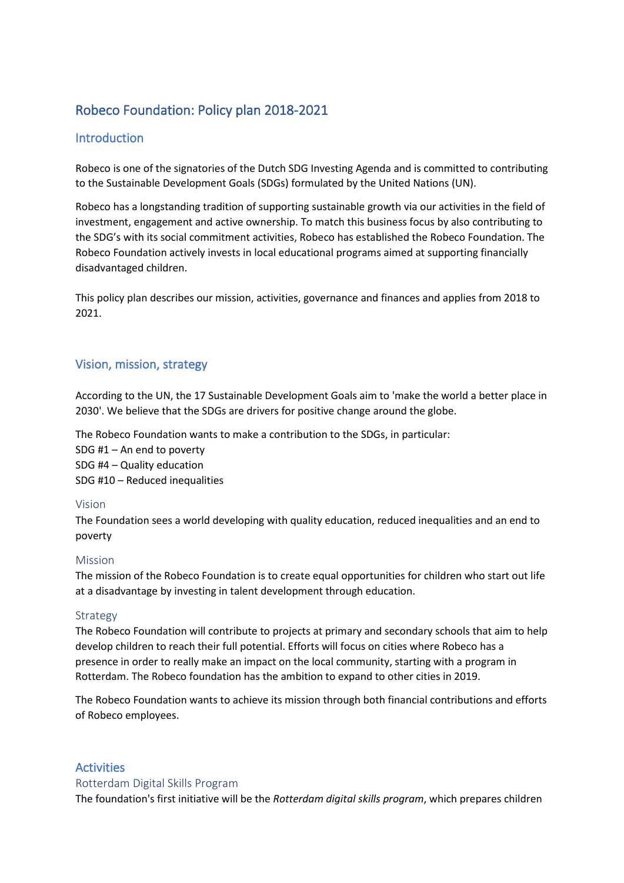# Robeco Foundation: Policy plan 2018-2021

# **Introduction**

Robeco is one of the signatories of the Dutch SDG Investing Agenda and is committed to contributing to the Sustainable Development Goals (SDGs) formulated by the United Nations (UN).

Robeco has a longstanding tradition of supporting sustainable growth via our activities in the field of investment, engagement and active ownership. To match this business focus by also contributing to the SDG's with its social commitment activities, Robeco has established the Robeco Foundation. The Robeco Foundation actively invests in local educational programs aimed at supporting financially disadvantaged children.

This policy plan describes our mission, activities, governance and finances and applies from 2018 to 2021.

# Vision, mission, strategy

According to the UN, the 17 Sustainable Development Goals aim to 'make the world a better place in 2030'. We believe that the SDGs are drivers for positive change around the globe.

The Robeco Foundation wants to make a contribution to the SDGs, in particular:

SDG #1 – An end to poverty SDG #4 – Quality education SDG #10 – Reduced inequalities

#### Vision

The Foundation sees a world developing with quality education, reduced inequalities and an end to poverty

#### Mission

The mission of the Robeco Foundation is to create equal opportunities for children who start out life at a disadvantage by investing in talent development through education.

#### Strategy

The Robeco Foundation will contribute to projects at primary and secondary schools that aim to help develop children to reach their full potential. Efforts will focus on cities where Robeco has a presence in order to really make an impact on the local community, starting with a program in Rotterdam. The Robeco foundation has the ambition to expand to other cities in 2019.

The Robeco Foundation wants to achieve its mission through both financial contributions and efforts of Robeco employees.

### **Activities**

#### Rotterdam Digital Skills Program

The foundation's first initiative will be the *Rotterdam digital skills program*, which prepares children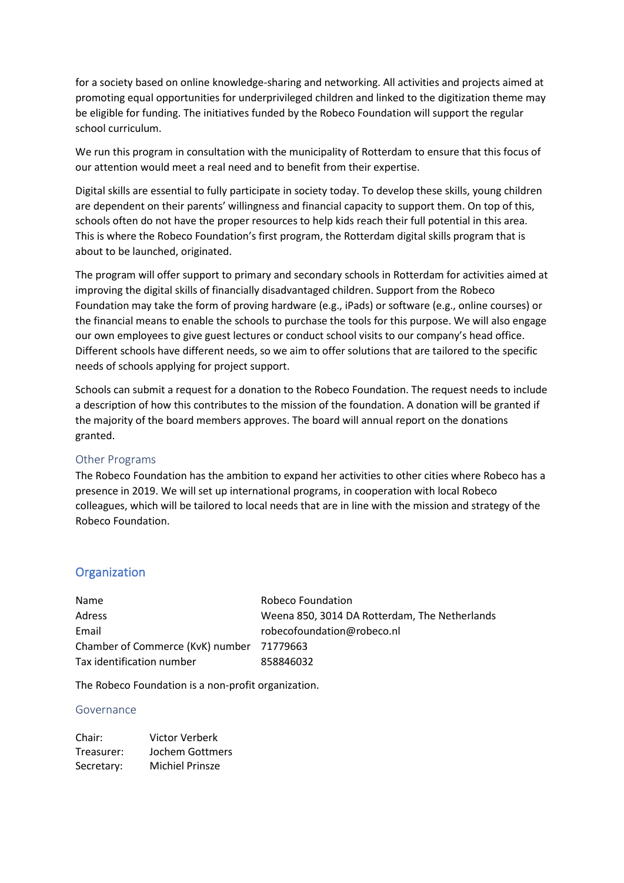for a society based on online knowledge-sharing and networking. All activities and projects aimed at promoting equal opportunities for underprivileged children and linked to the digitization theme may be eligible for funding. The initiatives funded by the Robeco Foundation will support the regular school curriculum.

We run this program in consultation with the municipality of Rotterdam to ensure that this focus of our attention would meet a real need and to benefit from their expertise.

Digital skills are essential to fully participate in society today. To develop these skills, young children are dependent on their parents' willingness and financial capacity to support them. On top of this, schools often do not have the proper resources to help kids reach their full potential in this area. This is where the Robeco Foundation's first program, the Rotterdam digital skills program that is about to be launched, originated.

The program will offer support to primary and secondary schools in Rotterdam for activities aimed at improving the digital skills of financially disadvantaged children. Support from the Robeco Foundation may take the form of proving hardware (e.g., iPads) or software (e.g., online courses) or the financial means to enable the schools to purchase the tools for this purpose. We will also engage our own employees to give guest lectures or conduct school visits to our company's head office. Different schools have different needs, so we aim to offer solutions that are tailored to the specific needs of schools applying for project support.

Schools can submit a request for a donation to the Robeco Foundation. The request needs to include a description of how this contributes to the mission of the foundation. A donation will be granted if the majority of the board members approves. The board will annual report on the donations granted.

#### Other Programs

The Robeco Foundation has the ambition to expand her activities to other cities where Robeco has a presence in 2019. We will set up international programs, in cooperation with local Robeco colleagues, which will be tailored to local needs that are in line with the mission and strategy of the Robeco Foundation.

# **Organization**

| Name                                      | Robeco Foundation                             |
|-------------------------------------------|-----------------------------------------------|
| <b>Adress</b>                             | Weena 850, 3014 DA Rotterdam, The Netherlands |
| Email                                     | robecofoundation@robeco.nl                    |
| Chamber of Commerce (KvK) number 71779663 |                                               |
| Tax identification number                 | 858846032                                     |

The Robeco Foundation is a non-profit organization.

#### Governance

| Chair:     | <b>Victor Verberk</b>  |
|------------|------------------------|
| Treasurer: | Jochem Gottmers        |
| Secretary: | <b>Michiel Prinsze</b> |